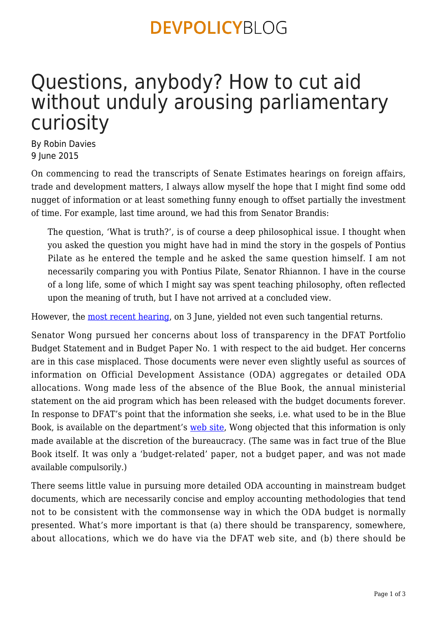### **DEVPOLICYBLOG**

# Questions, anybody? How to cut aid without unduly arousing parliamentary curiosity

By Robin Davies 9 June 2015

On commencing to read the transcripts of Senate Estimates hearings on foreign affairs, trade and development matters, I always allow myself the hope that I might find some odd nugget of information or at least something funny enough to offset partially the investment of time. For example, last time around, we had this from Senator Brandis:

The question, 'What is truth?', is of course a deep philosophical issue. I thought when you asked the question you might have had in mind the story in the gospels of Pontius Pilate as he entered the temple and he asked the same question himself. I am not necessarily comparing you with Pontius Pilate, Senator Rhiannon. I have in the course of a long life, some of which I might say was spent teaching philosophy, often reflected upon the meaning of truth, but I have not arrived at a concluded view.

However, the <u>most recent hearing</u>, on 3 June, yielded not even such tangential returns.

Senator Wong pursued her concerns about loss of transparency in the DFAT Portfolio Budget Statement and in Budget Paper No. 1 with respect to the aid budget. Her concerns are in this case misplaced. Those documents were never even slightly useful as sources of information on Official Development Assistance (ODA) aggregates or detailed ODA allocations. Wong made less of the absence of the Blue Book, the annual ministerial statement on the aid program which has been released with the budget documents forever. In response to DFAT's point that the information she seeks, i.e. what used to be in the Blue Book, is available on the department's [web site](http://devpolicy.us2.list-manage1.com/track/click?u=6ac2f42002877850c37072a5e&id=42ff6b8a7b&e=2278de9f73), Wong objected that this information is only made available at the discretion of the bureaucracy. (The same was in fact true of the Blue Book itself. It was only a 'budget-related' paper, not a budget paper, and was not made available compulsorily.)

There seems little value in pursuing more detailed ODA accounting in mainstream budget documents, which are necessarily concise and employ accounting methodologies that tend not to be consistent with the commonsense way in which the ODA budget is normally presented. What's more important is that (a) there should be transparency, somewhere, about allocations, which we do have via the DFAT web site, and (b) there should be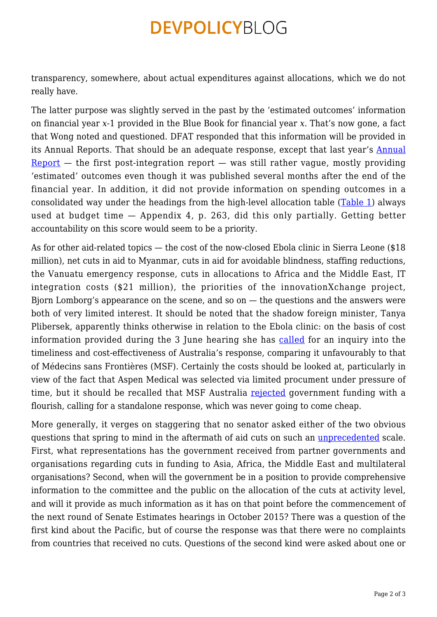### **DEVPOLICYBLOG**

transparency, somewhere, about actual expenditures against allocations, which we do not really have.

The latter purpose was slightly served in the past by the 'estimated outcomes' information on financial year *x*-1 provided in the Blue Book for financial year *x*. That's now gone, a fact that Wong noted and questioned. DFAT responded that this information will be provided in its Annual Reports. That should be an adequate response, except that last year's [Annual](http://devpolicy.us2.list-manage.com/track/click?u=6ac2f42002877850c37072a5e&id=8e232730d3&e=2278de9f73)  $Report$  — the first post-integration report — was still rather vague, mostly providing 'estimated' outcomes even though it was published several months after the end of the financial year. In addition, it did not provide information on spending outcomes in a consolidated way under the headings from the high-level allocation table ([Table 1\)](http://devpolicy.us2.list-manage.com/track/click?u=6ac2f42002877850c37072a5e&id=ad9aeca140&e=2278de9f73) always used at budget time — Appendix 4, p. 263, did this only partially. Getting better accountability on this score would seem to be a priority.

As for other aid-related topics — the cost of the now-closed Ebola clinic in Sierra Leone (\$18) million), net cuts in aid to Myanmar, cuts in aid for avoidable blindness, staffing reductions, the Vanuatu emergency response, cuts in allocations to Africa and the Middle East, IT integration costs (\$21 million), the priorities of the innovationXchange project, Bjorn Lomborg's appearance on the scene, and so on — the questions and the answers were both of very limited interest. It should be noted that the shadow foreign minister, Tanya Plibersek, apparently thinks otherwise in relation to the Ebola clinic: on the basis of cost information provided during the 3 June hearing she has [called](http://devpolicy.us2.list-manage.com/track/click?u=6ac2f42002877850c37072a5e&id=0cdcb4c94b&e=2278de9f73) for an inquiry into the timeliness and cost-effectiveness of Australia's response, comparing it unfavourably to that of Médecins sans Frontières (MSF). Certainly the costs should be looked at, particularly in view of the fact that Aspen Medical was selected via limited procument under pressure of time, but it should be recalled that MSF Australia [rejected](http://devpolicy.us2.list-manage.com/track/click?u=6ac2f42002877850c37072a5e&id=1e847582a5&e=2278de9f73) government funding with a flourish, calling for a standalone response, which was never going to come cheap.

More generally, it verges on staggering that no senator asked either of the two obvious questions that spring to mind in the aftermath of aid cuts on such an [unprecedented](http://devpolicy.us2.list-manage2.com/track/click?u=6ac2f42002877850c37072a5e&id=c1fa66d4b6&e=2278de9f73) scale. First, what representations has the government received from partner governments and organisations regarding cuts in funding to Asia, Africa, the Middle East and multilateral organisations? Second, when will the government be in a position to provide comprehensive information to the committee and the public on the allocation of the cuts at activity level, and will it provide as much information as it has on that point before the commencement of the next round of Senate Estimates hearings in October 2015? There was a question of the first kind about the Pacific, but of course the response was that there were no complaints from countries that received no cuts. Questions of the second kind were asked about one or